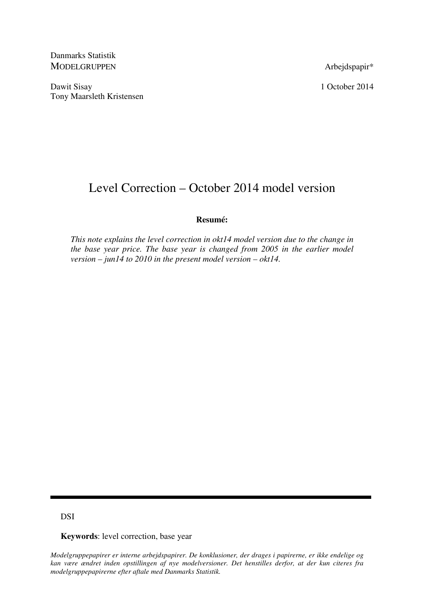Danmarks Statistik MODELGRUPPEN Arbejdspapir\*

Dawit Sisay 1 October 2014 Tony Maarsleth Kristensen

# Level Correction – October 2014 model version

# **Resumé:**

*This note explains the level correction in okt14 model version due to the change in the base year price. The base year is changed from 2005 in the earlier model version – jun14 to 2010 in the present model version – okt14.* 

# DSI

**Keywords**: level correction, base year

*Modelgruppepapirer er interne arbejdspapirer. De konklusioner, der drages i papirerne, er ikke endelige og kan være ændret inden opstillingen af nye modelversioner. Det henstilles derfor, at der kun citeres fra modelgruppepapirerne efter aftale med Danmarks Statistik.*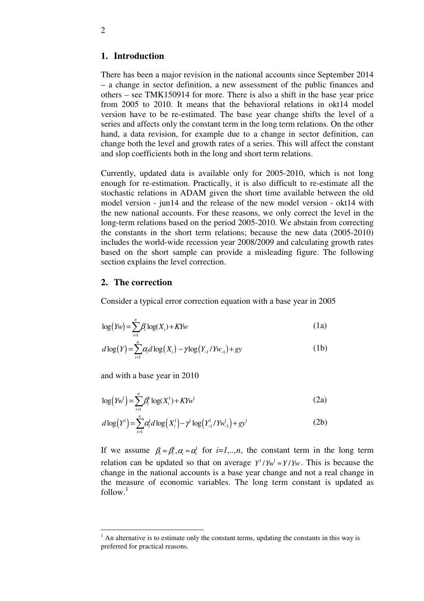# **1. Introduction**

There has been a major revision in the national accounts since September 2014 – a change in sector definition, a new assessment of the public finances and others – see TMK150914 for more. There is also a shift in the base year price from 2005 to 2010. It means that the behavioral relations in okt14 model version have to be re-estimated. The base year change shifts the level of a series and affects only the constant term in the long term relations. On the other hand, a data revision, for example due to a change in sector definition, can change both the level and growth rates of a series. This will affect the constant and slop coefficients both in the long and short term relations.

Currently, updated data is available only for 2005-2010, which is not long enough for re-estimation. Practically, it is also difficult to re-estimate all the stochastic relations in ADAM given the short time available between the old model version - jun14 and the release of the new model version - okt14 with the new national accounts. For these reasons, we only correct the level in the long-term relations based on the period 2005-2010. We abstain from correcting the constants in the short term relations; because the new data (2005-2010) includes the world-wide recession year 2008/2009 and calculating growth rates based on the short sample can provide a misleading figure. The following section explains the level correction.

## **2. The correction**

Consider a typical error correction equation with a base year in 2005

$$
\log\left( Yw \right) = \sum_{i=1}^{n} \beta_i \log(X_i) + K Yw \tag{1a}
$$

$$
d \log(Y) = \sum_{i=1}^{n} \alpha_i d \log(X_i) - \gamma \log(Y_{-1}/Y_{W_{-1}}) + gy \tag{1b}
$$

and with a base year in 2010

<u>.</u>

$$
\log (Yw^{1}) = \sum_{i=1}^{n} \beta_{i}^{1} \log(X_{i}^{1}) + KYw^{1}
$$
 (2a)

$$
d \log(Y^1) = \sum_{i=1}^{n} \alpha_i^1 d \log(X_i^1) - \gamma^1 \log(Y_{-1}^1 / Y_{-1}^1) + gy^1
$$
 (2b)

If we assume  $\beta_i \approx \beta_i^i$ ,  $\alpha_i \approx \alpha_i^i$  for *i*=*1,..,n*, the constant term in the long term relation can be updated so that on average  $Y^1 / Yw^1 \approx Y / Yw$ . This is because the change in the national accounts is a base year change and not a real change in the measure of economic variables. The long term constant is updated as  $follow.<sup>1</sup>$ 

 $<sup>1</sup>$  An alternative is to estimate only the constant terms, updating the constants in this way is</sup> preferred for practical reasons.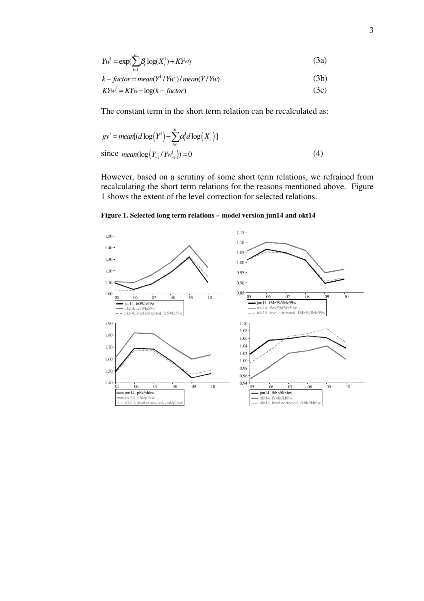$$
Yw^1 = \exp(\sum_{i=1}^n \beta_i \log(X_i^1) + KYw)
$$
\n(3a)

 $k - factor = mean(Y^1 / Yw^1) / mean(Y / Yw)$  (3b)

$$
KYw^1 = KYw + \log(k - factor)
$$
 (3c)

The constant term in the short term relation can be recalculated as:

$$
gy^{1} = mean[(d \log(Y^{1}) - \sum_{i=1}^{n} \alpha_{i}^{1} d \log(X_{i}^{1})]
$$
  
since  $mean(\log(Y_{-1}^{1} / Yw_{-1}^{1})) = 0$  (4)

However, based on a scrutiny of some short term relations, we refrained from recalculating the short term relations for the reasons mentioned above. Figure 1 shows the extent of the level correction for selected relations.

**Figure 1. Selected long term relations – model version jun14 and okt14** 

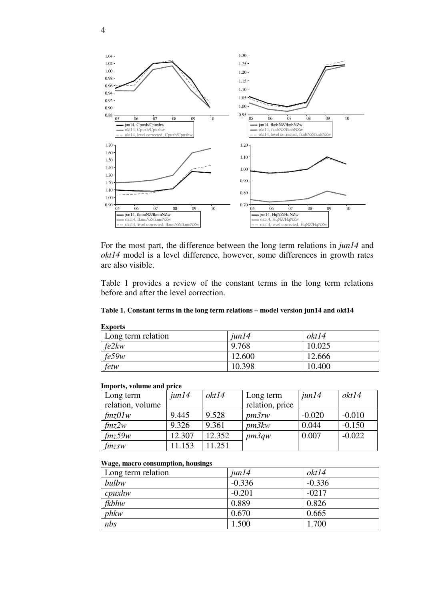

For the most part, the difference between the long term relations in *jun14* and *okt14* model is a level difference, however, some differences in growth rates are also visible.

Table 1 provides a review of the constant terms in the long term relations before and after the level correction.

#### **Table 1. Constant terms in the long term relations – model version jun14 and okt14**

| <b>Exports</b>     |  |           |        |  |
|--------------------|--|-----------|--------|--|
| Long term relation |  | $j$ un 14 | okt14  |  |
| fe2kw              |  | 9.768     | 10.025 |  |
| fe59w              |  | 12.600    | 12.666 |  |
| fetw               |  | 10.398    | 10.400 |  |

#### **Imports, volume and price**

| Long term          | jun14  | okt14  | Long term       | $j$ un 14 | okt14    |
|--------------------|--------|--------|-----------------|-----------|----------|
| relation, volume   |        |        | relation, price |           |          |
| $\frac{\ln z}{U}$  | 9.445  | 9.528  | pm3rw           | $-0.020$  | $-0.010$ |
| $\int mz2w$        | 9.326  | 9.361  | pm3kw           | 0.044     | $-0.150$ |
| $\mathit{fmz}$ 59w | 12.307 | 12.352 | pm3qw           | 0.007     | $-0.022$ |
| $f$ <i>mzsw</i>    | 1.153  | 11.251 |                 |           |          |

#### **Wage, macro consumption, housings**

| Long term relation | $j$ un 14 | okt14    |
|--------------------|-----------|----------|
| bulbw              | $-0.336$  | $-0.336$ |
| $c$ <i>puxhw</i>   | $-0.201$  | $-0217$  |
| $f$ <i>kbhw</i>    | 0.889     | 0.826    |
| phkw               | 0.670     | 0.665    |
| nbs                | 1.500     | 1.700    |